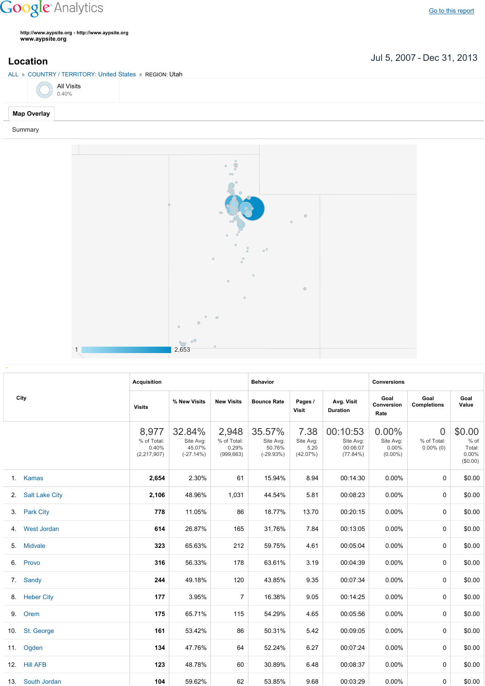## **Google** Analytics

**http://www.aypsite.org http://www.aypsite.org www.aypsite.org**

ALL » COUNTRY / TERRITORY: United States » REGION: Utah

All Visits 0.40%

## **Map Overlay**

Summary



|  | City              | <b>Acquisition</b>                           |                                              |                                             | <b>Behavior</b>                              |                                       |                                               | <b>Conversions</b>                           |                                               |                                                 |
|--|-------------------|----------------------------------------------|----------------------------------------------|---------------------------------------------|----------------------------------------------|---------------------------------------|-----------------------------------------------|----------------------------------------------|-----------------------------------------------|-------------------------------------------------|
|  |                   | <b>Visits</b>                                | % New Visits                                 | <b>New Visits</b>                           | <b>Bounce Rate</b>                           | Pages /<br>Visit                      | Avg. Visit<br><b>Duration</b>                 | Goal<br>Conversion<br>Rate                   | Goal<br><b>Completions</b>                    | Goal<br>Value                                   |
|  |                   | 8,977<br>% of Total:<br>0.40%<br>(2,217,907) | 32.84%<br>Site Avg:<br>45.07%<br>$(-27.14%)$ | 2,948<br>% of Total:<br>0.29%<br>(999, 663) | 35.57%<br>Site Avg:<br>50.76%<br>$(-29.93%)$ | 7.38<br>Site Avg:<br>5.20<br>(42.07%) | 00:10:53<br>Site Avg:<br>00:06:07<br>(77.84%) | 0.00%<br>Site Avg:<br>$0.00\%$<br>$(0.00\%)$ | $\overline{0}$<br>% of Total:<br>$0.00\%$ (0) | \$0.00<br>$%$ of<br>Total:<br>0.00%<br>(\$0.00) |
|  | 1. Kamas          | 2,654                                        | 2.30%                                        | 61                                          | 15.94%                                       | 8.94                                  | 00:14:30                                      | 0.00%                                        | $\Omega$                                      | \$0.00                                          |
|  | 2. Salt Lake City | 2,106                                        | 48.96%                                       | 1,031                                       | 44.54%                                       | 5.81                                  | 00:08:23                                      | $0.00\%$                                     | 0                                             | \$0.00                                          |
|  | 3. Park City      | 778                                          | 11.05%                                       | 86                                          | 18.77%                                       | 13.70                                 | 00:20:15                                      | $0.00\%$                                     | 0                                             | \$0.00                                          |
|  | 4. West Jordan    | 614                                          | 26.87%                                       | 165                                         | 31.76%                                       | 7.84                                  | 00:13:05                                      | $0.00\%$                                     | 0                                             | \$0.00                                          |
|  | 5. Midvale        | 323                                          | 65.63%                                       | 212                                         | 59.75%                                       | 4.61                                  | 00:05:04                                      | 0.00%                                        | 0                                             | \$0.00                                          |
|  | 6. Provo          | 316                                          | 56.33%                                       | 178                                         | 63.61%                                       | 3.19                                  | 00:04:39                                      | $0.00\%$                                     | 0                                             | \$0.00                                          |
|  | 7. Sandy          | 244                                          | 49.18%                                       | 120                                         | 43.85%                                       | 9.35                                  | 00:07:34                                      | 0.00%                                        | 0                                             | \$0.00                                          |
|  | 8. Heber City     | 177                                          | 3.95%                                        | $\overline{7}$                              | 16.38%                                       | 9.05                                  | 00:14:25                                      | $0.00\%$                                     | 0                                             | \$0.00                                          |
|  | 9. Orem           | 175                                          | 65.71%                                       | 115                                         | 54.29%                                       | 4.65                                  | 00:05:56                                      | 0.00%                                        | 0                                             | \$0.00                                          |
|  | 10. St. George    | 161                                          | 53.42%                                       | 86                                          | 50.31%                                       | 5.42                                  | 00:09:05                                      | 0.00%                                        | $\Omega$                                      | \$0.00                                          |
|  | 11. Ogden         | 134                                          | 47.76%                                       | 64                                          | 52.24%                                       | 6.27                                  | 00:07:24                                      | $0.00\%$                                     | 0                                             | \$0.00                                          |
|  | 12. Hill AFB      | 123                                          | 48.78%                                       | 60                                          | 30.89%                                       | 6.48                                  | 00:08:37                                      | 0.00%                                        | 0                                             | \$0.00                                          |
|  | 13. South Jordan  | 104                                          | 59.62%                                       | 62                                          | 53.85%                                       | 9.68                                  | 00:03:29                                      | $0.00\%$                                     | 0                                             | \$0.00                                          |

Jul 5, 2007 Dec 31, 2013 **Location**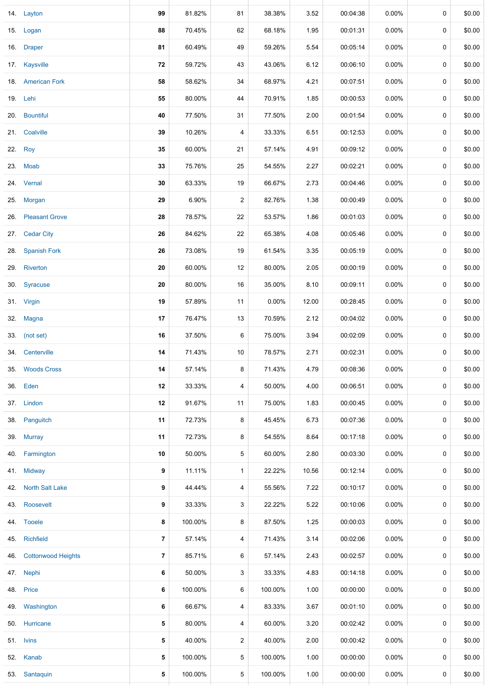|     | 14. Layton                | 99             | 81.82%  | 81             | 38.38%  | 3.52  | 00:04:38 | $0.00\%$ | 0           | \$0.00 |
|-----|---------------------------|----------------|---------|----------------|---------|-------|----------|----------|-------------|--------|
|     | 15. Logan                 | 88             | 70.45%  | 62             | 68.18%  | 1.95  | 00:01:31 | $0.00\%$ | 0           | \$0.00 |
|     | 16. Draper                | 81             | 60.49%  | 49             | 59.26%  | 5.54  | 00:05:14 | $0.00\%$ | 0           | \$0.00 |
|     | 17. Kaysville             | 72             | 59.72%  | 43             | 43.06%  | 6.12  | 00:06:10 | $0.00\%$ | 0           | \$0.00 |
|     | 18. American Fork         | 58             | 58.62%  | 34             | 68.97%  | 4.21  | 00:07:51 | 0.00%    | 0           | \$0.00 |
|     | 19. Lehi                  | 55             | 80.00%  | 44             | 70.91%  | 1.85  | 00:00:53 | $0.00\%$ | 0           | \$0.00 |
|     | 20. Bountiful             | 40             | 77.50%  | 31             | 77.50%  | 2.00  | 00:01:54 | 0.00%    | 0           | \$0.00 |
|     | 21. Coalville             | 39             | 10.26%  | 4              | 33.33%  | 6.51  | 00:12:53 | $0.00\%$ | 0           | \$0.00 |
|     | 22. Roy                   | 35             | 60.00%  | 21             | 57.14%  | 4.91  | 00:09:12 | $0.00\%$ | 0           | \$0.00 |
|     | 23. Moab                  | 33             | 75.76%  | 25             | 54.55%  | 2.27  | 00:02:21 | $0.00\%$ | 0           | \$0.00 |
|     | 24. Vernal                | 30             | 63.33%  | 19             | 66.67%  | 2.73  | 00:04:46 | $0.00\%$ | 0           | \$0.00 |
|     | 25. Morgan                | 29             | 6.90%   | $\overline{2}$ | 82.76%  | 1.38  | 00:00:49 | 0.00%    | 0           | \$0.00 |
| 26. | <b>Pleasant Grove</b>     | 28             | 78.57%  | 22             | 53.57%  | 1.86  | 00:01:03 | $0.00\%$ | 0           | \$0.00 |
| 27. | <b>Cedar City</b>         | 26             | 84.62%  | 22             | 65.38%  | 4.08  | 00:05:46 | 0.00%    | 0           | \$0.00 |
| 28. | <b>Spanish Fork</b>       | 26             | 73.08%  | 19             | 61.54%  | 3.35  | 00:05:19 | 0.00%    | 0           | \$0.00 |
|     | 29. Riverton              | 20             | 60.00%  | 12             | 80.00%  | 2.05  | 00:00:19 | $0.00\%$ | 0           | \$0.00 |
|     | 30. Syracuse              | 20             | 80.00%  | 16             | 35.00%  | 8.10  | 00:09:11 | $0.00\%$ | 0           | \$0.00 |
|     | 31. Virgin                | 19             | 57.89%  | 11             | 0.00%   | 12.00 | 00:28:45 | $0.00\%$ | 0           | \$0.00 |
|     | 32. Magna                 | 17             | 76.47%  | 13             | 70.59%  | 2.12  | 00:04:02 | $0.00\%$ | 0           | \$0.00 |
|     | 33. (not set)             | 16             | 37.50%  | 6              | 75.00%  | 3.94  | 00:02:09 | 0.00%    | 0           | \$0.00 |
|     | 34. Centerville           | 14             | 71.43%  | 10             | 78.57%  | 2.71  | 00:02:31 | 0.00%    | 0           | \$0.00 |
|     | 35. Woods Cross           | 14             | 57.14%  | 8              | 71.43%  | 4.79  | 00:08:36 | $0.00\%$ | 0           | \$0.00 |
| 36. | Eden                      | 12             | 33.33%  | 4              | 50.00%  | 4.00  | 00:06:51 | $0.00\%$ | 0           | \$0.00 |
|     | 37. Lindon                | 12             | 91.67%  | 11             | 75.00%  | 1.83  | 00:00:45 | $0.00\%$ | 0           | \$0.00 |
| 38. | Panguitch                 | 11             | 72.73%  | 8              | 45.45%  | 6.73  | 00:07:36 | 0.00%    | 0           | \$0.00 |
| 39. | <b>Murray</b>             | 11             | 72.73%  | 8              | 54.55%  | 8.64  | 00:17:18 | $0.00\%$ | 0           | \$0.00 |
| 40. | Farmington                | 10             | 50.00%  | 5              | 60.00%  | 2.80  | 00:03:30 | $0.00\%$ | 0           | \$0.00 |
|     | 41. Midway                | 9              | 11.11%  | $\mathbf{1}$   | 22.22%  | 10.56 | 00:12:14 | $0.00\%$ | 0           | \$0.00 |
| 42. | <b>North Salt Lake</b>    | 9              | 44.44%  | 4              | 55.56%  | 7.22  | 00:10:17 | $0.00\%$ | 0           | \$0.00 |
| 43. | Roosevelt                 | 9              | 33.33%  | 3              | 22.22%  | 5.22  | 00:10:06 | $0.00\%$ | 0           | \$0.00 |
|     | 44. Tooele                | 8              | 100.00% | 8              | 87.50%  | 1.25  | 00:00:03 | $0.00\%$ | 0           | \$0.00 |
| 45. | <b>Richfield</b>          | $\overline{7}$ | 57.14%  | 4              | 71.43%  | 3.14  | 00:02:06 | $0.00\%$ | 0           | \$0.00 |
| 46. | <b>Cottonwood Heights</b> | 7              | 85.71%  | 6              | 57.14%  | 2.43  | 00:02:57 | $0.00\%$ | $\mathbf 0$ | \$0.00 |
|     | 47. Nephi                 | 6              | 50.00%  | 3              | 33.33%  | 4.83  | 00:14:18 | $0.00\%$ | 0           | \$0.00 |
|     | 48. Price                 | 6              | 100.00% | 6              | 100.00% | 1.00  | 00:00:00 | $0.00\%$ | $\mathbf 0$ | \$0.00 |
| 49. | Washington                | 6              | 66.67%  | 4              | 83.33%  | 3.67  | 00:01:10 | $0.00\%$ | 0           | \$0.00 |
| 50. | Hurricane                 | 5              | 80.00%  | 4              | 60.00%  | 3.20  | 00:02:42 | $0.00\%$ | 0           | \$0.00 |
|     | 51. Ivins                 | 5              | 40.00%  | $\overline{a}$ | 40.00%  | 2.00  | 00:00:42 | $0.00\%$ | 0           | \$0.00 |
| 52. | Kanab                     | 5              | 100.00% | 5              | 100.00% | 1.00  | 00:00:00 | $0.00\%$ | 0           | \$0.00 |
| 53. | Santaquin                 | 5              | 100.00% | 5              | 100.00% | 1.00  | 00:00:00 | $0.00\%$ | 0           | \$0.00 |